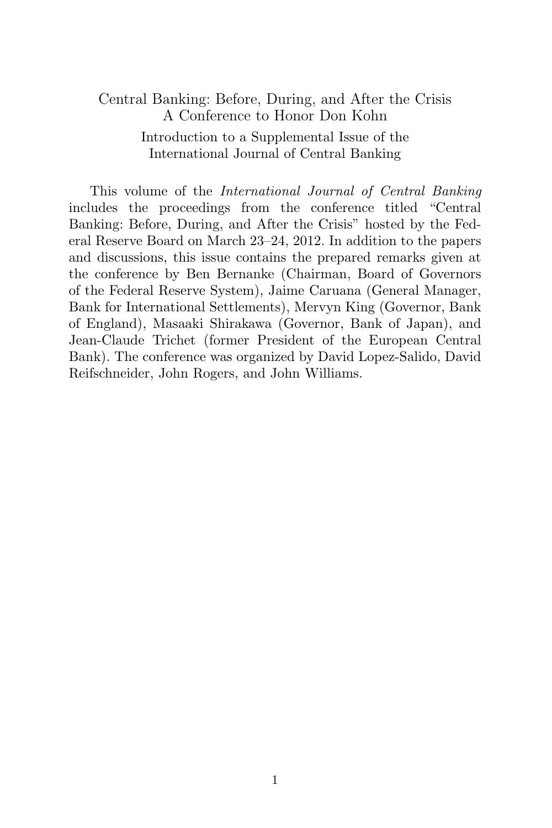## Central Banking: Before, During, and After the Crisis A Conference to Honor Don Kohn Introduction to a Supplemental Issue of the International Journal of Central Banking

This volume of the International Journal of Central Banking includes the proceedings from the conference titled "Central Banking: Before, During, and After the Crisis" hosted by the Federal Reserve Board on March 23–24, 2012. In addition to the papers and discussions, this issue contains the prepared remarks given at the conference by Ben Bernanke (Chairman, Board of Governors of the Federal Reserve System), Jaime Caruana (General Manager, Bank for International Settlements), Mervyn King (Governor, Bank of England), Masaaki Shirakawa (Governor, Bank of Japan), and Jean-Claude Trichet (former President of the European Central Bank). The conference was organized by David Lopez-Salido, David Reifschneider, John Rogers, and John Williams.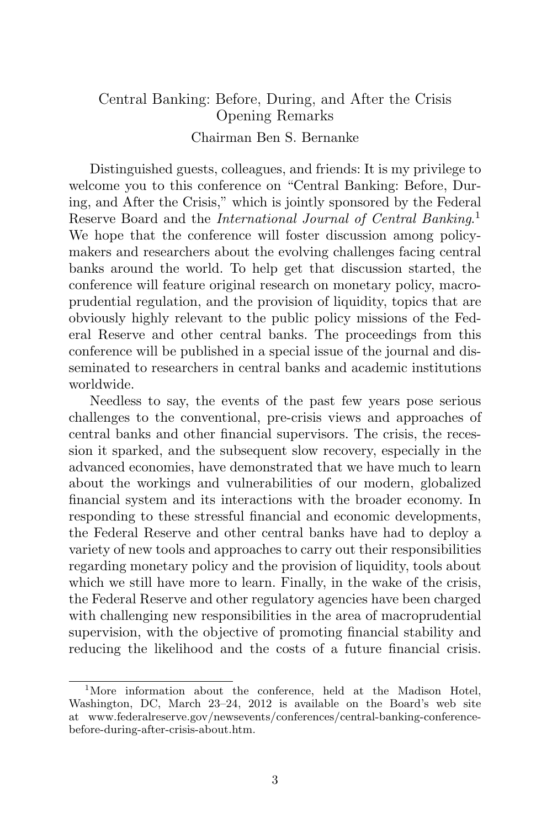## Central Banking: Before, During, and After the Crisis Opening Remarks Chairman Ben S. Bernanke

Distinguished guests, colleagues, and friends: It is my privilege to welcome you to this conference on "Central Banking: Before, During, and After the Crisis," which is jointly sponsored by the Federal Reserve Board and the International Journal of Central Banking.<sup>1</sup> We hope that the conference will foster discussion among policymakers and researchers about the evolving challenges facing central banks around the world. To help get that discussion started, the conference will feature original research on monetary policy, macroprudential regulation, and the provision of liquidity, topics that are obviously highly relevant to the public policy missions of the Federal Reserve and other central banks. The proceedings from this conference will be published in a special issue of the journal and disseminated to researchers in central banks and academic institutions worldwide.

Needless to say, the events of the past few years pose serious challenges to the conventional, pre-crisis views and approaches of central banks and other financial supervisors. The crisis, the recession it sparked, and the subsequent slow recovery, especially in the advanced economies, have demonstrated that we have much to learn about the workings and vulnerabilities of our modern, globalized financial system and its interactions with the broader economy. In responding to these stressful financial and economic developments, the Federal Reserve and other central banks have had to deploy a variety of new tools and approaches to carry out their responsibilities regarding monetary policy and the provision of liquidity, tools about which we still have more to learn. Finally, in the wake of the crisis, the Federal Reserve and other regulatory agencies have been charged with challenging new responsibilities in the area of macroprudential supervision, with the objective of promoting financial stability and reducing the likelihood and the costs of a future financial crisis.

<sup>&</sup>lt;sup>1</sup>More information about the conference, held at the Madison Hotel, Washington, DC, March 23–24, 2012 is available on the Board's web site at www.federalreserve.gov/newsevents/conferences/central-banking-conferencebefore-during-after-crisis-about.htm.